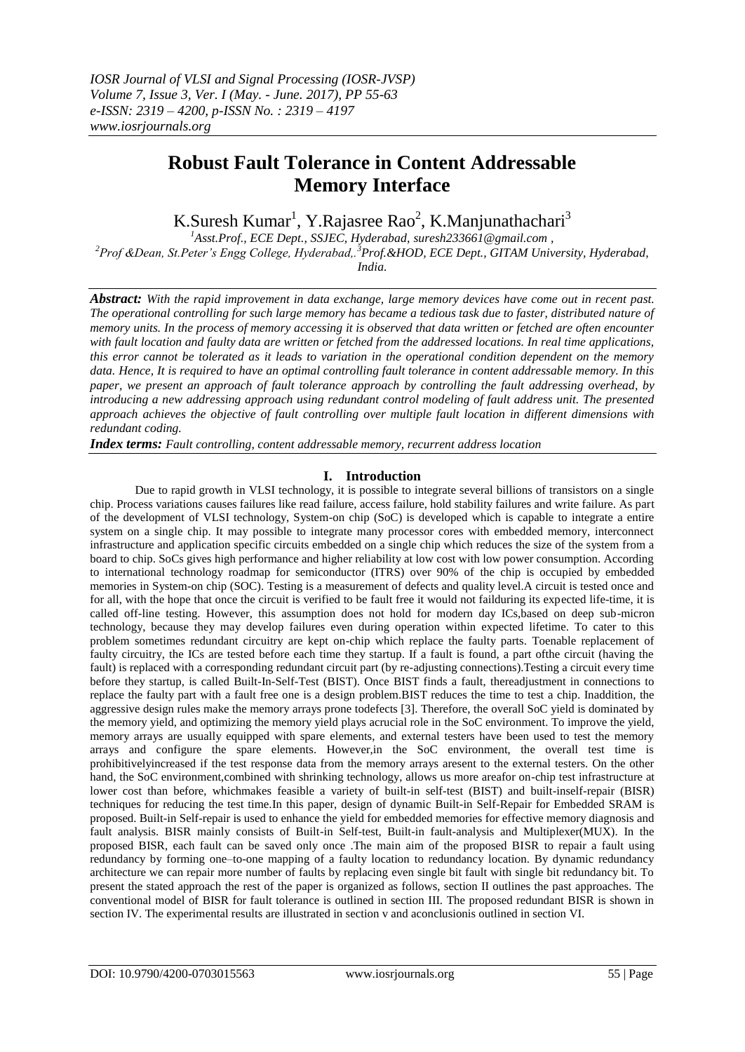# **Robust Fault Tolerance in Content Addressable Memory Interface**

K.Suresh Kumar<sup>1</sup>, Y.Rajasree Rao<sup>2</sup>, K.Manjunathachari<sup>3</sup>

*<sup>1</sup>Asst.Prof., ECE Dept., SSJEC, Hyderabad, [suresh233661@gmail.com](mailto:suresh233661@gmail.com) ,* 

*<sup>2</sup>Prof &Dean, St.Peter's Engg College, Hyderabad,.<sup>3</sup>Prof.&HOD, ECE Dept., GITAM University, Hyderabad, India.*

*Abstract: With the rapid improvement in data exchange, large memory devices have come out in recent past. The operational controlling for such large memory has became a tedious task due to faster, distributed nature of memory units. In the process of memory accessing it is observed that data written or fetched are often encounter with fault location and faulty data are written or fetched from the addressed locations. In real time applications, this error cannot be tolerated as it leads to variation in the operational condition dependent on the memory data. Hence, It is required to have an optimal controlling fault tolerance in content addressable memory. In this paper, we present an approach of fault tolerance approach by controlling the fault addressing overhead, by introducing a new addressing approach using redundant control modeling of fault address unit. The presented approach achieves the objective of fault controlling over multiple fault location in different dimensions with redundant coding.* 

*Index terms: Fault controlling, content addressable memory, recurrent address location* 

# **I. Introduction**

Due to rapid growth in VLSI technology, it is possible to integrate several billions of transistors on a single chip. Process variations causes failures like read failure, access failure, hold stability failures and write failure. As part of the development of VLSI technology, System-on chip (SoC) is developed which is capable to integrate a entire system on a single chip. It may possible to integrate many processor cores with embedded memory, interconnect infrastructure and application specific circuits embedded on a single chip which reduces the size of the system from a board to chip. SoCs gives high performance and higher reliability at low cost with low power consumption. According to international technology roadmap for semiconductor (ITRS) over 90% of the chip is occupied by embedded memories in System-on chip (SOC). Testing is a measurement of defects and quality level.A circuit is tested once and for all, with the hope that once the circuit is verified to be fault free it would not failduring its expected life-time, it is called off-line testing. However, this assumption does not hold for modern day ICs,based on deep sub-micron technology, because they may develop failures even during operation within expected lifetime. To cater to this problem sometimes redundant circuitry are kept on-chip which replace the faulty parts. Toenable replacement of faulty circuitry, the ICs are tested before each time they startup. If a fault is found, a part ofthe circuit (having the fault) is replaced with a corresponding redundant circuit part (by re-adjusting connections).Testing a circuit every time before they startup, is called Built-In-Self-Test (BIST). Once BIST finds a fault, thereadjustment in connections to replace the faulty part with a fault free one is a design problem.BIST reduces the time to test a chip. Inaddition, the aggressive design rules make the memory arrays prone todefects [3]. Therefore, the overall SoC yield is dominated by the memory yield, and optimizing the memory yield plays acrucial role in the SoC environment. To improve the yield, memory arrays are usually equipped with spare elements, and external testers have been used to test the memory arrays and configure the spare elements. However,in the SoC environment, the overall test time is prohibitivelyincreased if the test response data from the memory arrays aresent to the external testers. On the other hand, the SoC environment,combined with shrinking technology, allows us more areafor on-chip test infrastructure at lower cost than before, whichmakes feasible a variety of built-in self-test (BIST) and built-inself-repair (BISR) techniques for reducing the test time.In this paper, design of dynamic Built-in Self-Repair for Embedded SRAM is proposed. Built-in Self-repair is used to enhance the yield for embedded memories for effective memory diagnosis and fault analysis. BISR mainly consists of Built-in Self-test, Built-in fault-analysis and Multiplexer(MUX). In the proposed BISR, each fault can be saved only once .The main aim of the proposed BISR to repair a fault using redundancy by forming one–to-one mapping of a faulty location to redundancy location. By dynamic redundancy architecture we can repair more number of faults by replacing even single bit fault with single bit redundancy bit. To present the stated approach the rest of the paper is organized as follows, section II outlines the past approaches. The conventional model of BISR for fault tolerance is outlined in section III. The proposed redundant BISR is shown in section IV. The experimental results are illustrated in section v and aconclusionis outlined in section VI.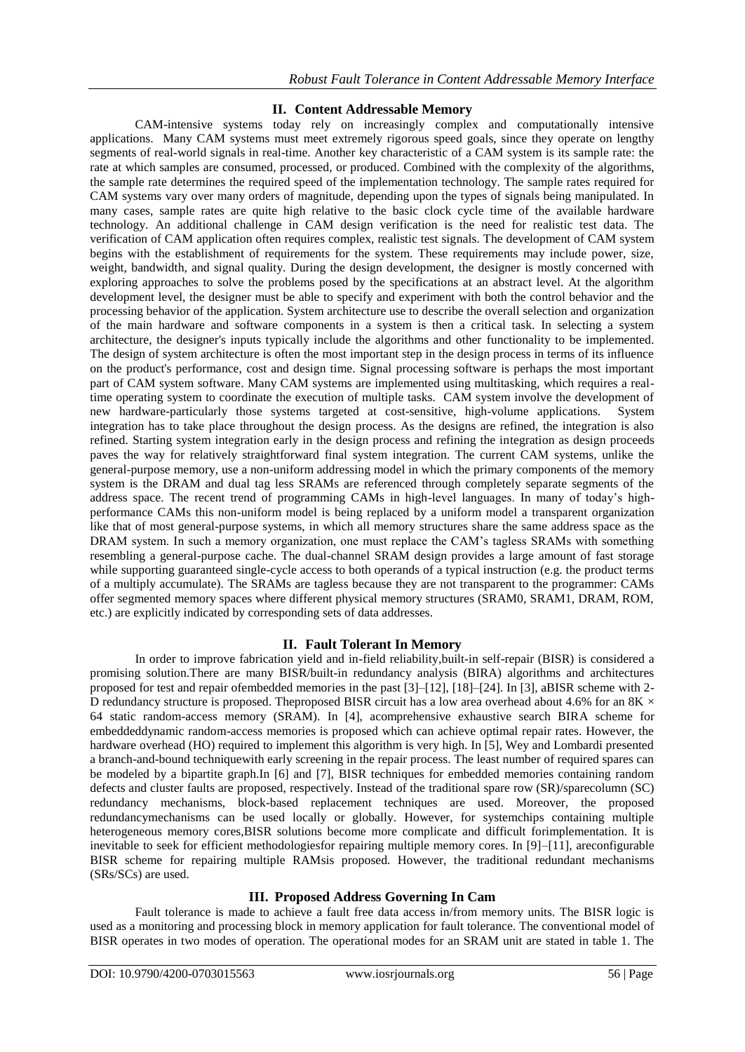# **II. Content Addressable Memory**

CAM-intensive systems today rely on increasingly complex and computationally intensive applications. Many CAM systems must meet extremely rigorous speed goals, since they operate on lengthy segments of real-world signals in real-time. Another key characteristic of a CAM system is its sample rate: the rate at which samples are consumed, processed, or produced. Combined with the complexity of the algorithms, the sample rate determines the required speed of the implementation technology. The sample rates required for CAM systems vary over many orders of magnitude, depending upon the types of signals being manipulated. In many cases, sample rates are quite high relative to the basic clock cycle time of the available hardware technology. An additional challenge in CAM design verification is the need for realistic test data. The verification of CAM application often requires complex, realistic test signals. The development of CAM system begins with the establishment of requirements for the system. These requirements may include power, size, weight, bandwidth, and signal quality. During the design development, the designer is mostly concerned with exploring approaches to solve the problems posed by the specifications at an abstract level. At the algorithm development level, the designer must be able to specify and experiment with both the control behavior and the processing behavior of the application. System architecture use to describe the overall selection and organization of the main hardware and software components in a system is then a critical task. In selecting a system architecture, the designer's inputs typically include the algorithms and other functionality to be implemented. The design of system architecture is often the most important step in the design process in terms of its influence on the product's performance, cost and design time. Signal processing software is perhaps the most important part of CAM system software. Many CAM systems are implemented using multitasking, which requires a realtime operating system to coordinate the execution of multiple tasks. CAM system involve the development of new hardware-particularly those systems targeted at cost-sensitive, high-volume applications. System integration has to take place throughout the design process. As the designs are refined, the integration is also refined. Starting system integration early in the design process and refining the integration as design proceeds paves the way for relatively straightforward final system integration. The current CAM systems, unlike the general-purpose memory, use a non-uniform addressing model in which the primary components of the memory system is the DRAM and dual tag less SRAMs are referenced through completely separate segments of the address space. The recent trend of programming CAMs in high-level languages. In many of today's highperformance CAMs this non-uniform model is being replaced by a uniform model a transparent organization like that of most general-purpose systems, in which all memory structures share the same address space as the DRAM system. In such a memory organization, one must replace the CAM's tagless SRAMs with something resembling a general-purpose cache. The dual-channel SRAM design provides a large amount of fast storage while supporting guaranteed single-cycle access to both operands of a typical instruction (e.g. the product terms of a multiply accumulate). The SRAMs are tagless because they are not transparent to the programmer: CAMs offer segmented memory spaces where different physical memory structures (SRAM0, SRAM1, DRAM, ROM, etc.) are explicitly indicated by corresponding sets of data addresses.

### **II. Fault Tolerant In Memory**

In order to improve fabrication yield and in-field reliability,built-in self-repair (BISR) is considered a promising solution.There are many BISR/built-in redundancy analysis (BIRA) algorithms and architectures proposed for test and repair ofembedded memories in the past [3]–[12], [18]–[24]. In [3], aBISR scheme with 2- D redundancy structure is proposed. Theproposed BISR circuit has a low area overhead about 4.6% for an 8K  $\times$ 64 static random-access memory (SRAM). In [4], acomprehensive exhaustive search BIRA scheme for embeddeddynamic random-access memories is proposed which can achieve optimal repair rates. However, the hardware overhead (HO) required to implement this algorithm is very high. In [5], Wey and Lombardi presented a branch-and-bound techniquewith early screening in the repair process. The least number of required spares can be modeled by a bipartite graph.In [6] and [7], BISR techniques for embedded memories containing random defects and cluster faults are proposed, respectively. Instead of the traditional spare row (SR)/sparecolumn (SC) redundancy mechanisms, block-based replacement techniques are used. Moreover, the proposed redundancymechanisms can be used locally or globally. However, for systemchips containing multiple heterogeneous memory cores,BISR solutions become more complicate and difficult forimplementation. It is inevitable to seek for efficient methodologiesfor repairing multiple memory cores. In [9]–[11], areconfigurable BISR scheme for repairing multiple RAMsis proposed. However, the traditional redundant mechanisms (SRs/SCs) are used.

### **III. Proposed Address Governing In Cam**

Fault tolerance is made to achieve a fault free data access in/from memory units. The BISR logic is used as a monitoring and processing block in memory application for fault tolerance. The conventional model of BISR operates in two modes of operation. The operational modes for an SRAM unit are stated in table 1. The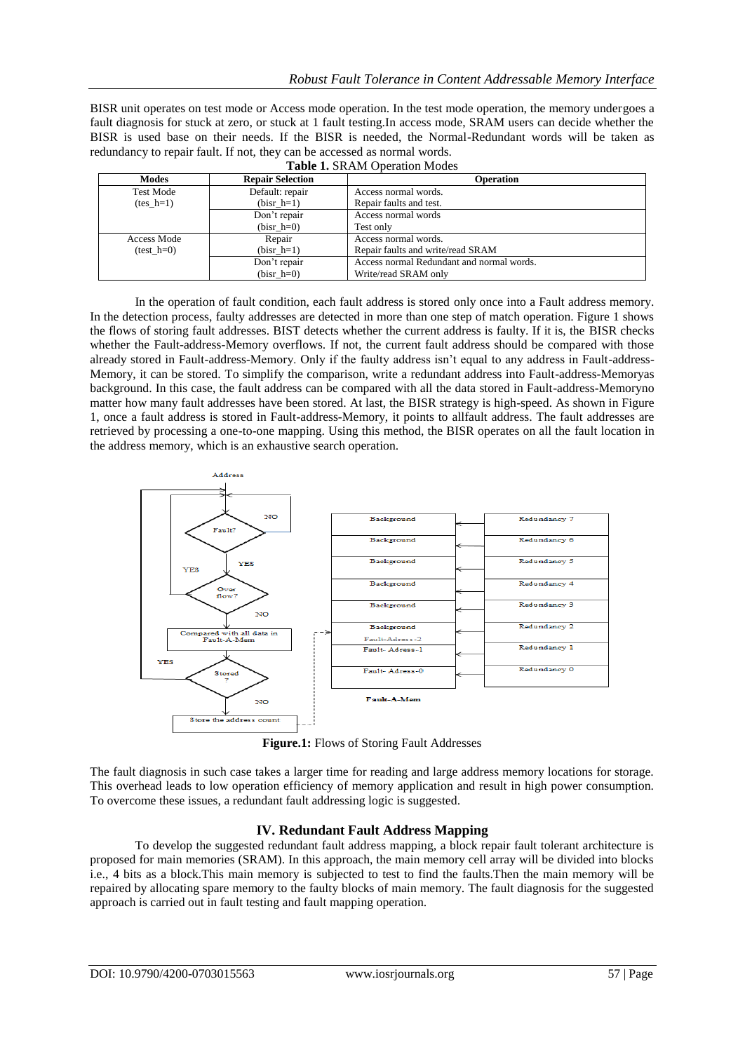BISR unit operates on test mode or Access mode operation. In the test mode operation, the memory undergoes a fault diagnosis for stuck at zero, or stuck at 1 fault testing.In access mode, SRAM users can decide whether the BISR is used base on their needs. If the BISR is needed, the Normal-Redundant words will be taken as redundancy to repair fault. If not, they can be accessed as normal words.  $T$ . LL  $1.7$  Op  $\lambda$  Modes  $\lambda$ .

|                  | <b>Table 1.</b> SNAM Operation Modes |                                           |  |  |  |  |  |  |  |  |  |
|------------------|--------------------------------------|-------------------------------------------|--|--|--|--|--|--|--|--|--|
| <b>Modes</b>     | <b>Repair Selection</b>              | <b>Operation</b>                          |  |  |  |  |  |  |  |  |  |
| <b>Test Mode</b> | Default: repair                      | Access normal words.                      |  |  |  |  |  |  |  |  |  |
| $(test h=1)$     | $(bisr h=1)$                         | Repair faults and test.                   |  |  |  |  |  |  |  |  |  |
|                  | Don't repair                         | Access normal words                       |  |  |  |  |  |  |  |  |  |
|                  | $(bisr h=0)$                         | Test only                                 |  |  |  |  |  |  |  |  |  |
| Access Mode      | Repair                               | Access normal words.                      |  |  |  |  |  |  |  |  |  |
| $(test h=0)$     | $(bisr h=1)$                         | Repair faults and write/read SRAM         |  |  |  |  |  |  |  |  |  |
|                  | Don't repair                         | Access normal Redundant and normal words. |  |  |  |  |  |  |  |  |  |
|                  | $(bisr h=0)$                         | Write/read SRAM only                      |  |  |  |  |  |  |  |  |  |

In the operation of fault condition, each fault address is stored only once into a Fault address memory. In the detection process, faulty addresses are detected in more than one step of match operation. Figure 1 shows the flows of storing fault addresses. BIST detects whether the current address is faulty. If it is, the BISR checks whether the Fault-address-Memory overflows. If not, the current fault address should be compared with those already stored in Fault-address-Memory. Only if the faulty address isn't equal to any address in Fault-address-Memory, it can be stored. To simplify the comparison, write a redundant address into Fault-address-Memoryas background. In this case, the fault address can be compared with all the data stored in Fault-address-Memoryno matter how many fault addresses have been stored. At last, the BISR strategy is high-speed. As shown in Figure 1, once a fault address is stored in Fault-address-Memory, it points to allfault address. The fault addresses are retrieved by processing a one-to-one mapping. Using this method, the BISR operates on all the fault location in the address memory, which is an exhaustive search operation.



**Figure.1:** Flows of Storing Fault Addresses

The fault diagnosis in such case takes a larger time for reading and large address memory locations for storage. This overhead leads to low operation efficiency of memory application and result in high power consumption. To overcome these issues, a redundant fault addressing logic is suggested.

# **IV. Redundant Fault Address Mapping**

To develop the suggested redundant fault address mapping, a block repair fault tolerant architecture is proposed for main memories (SRAM). In this approach, the main memory cell array will be divided into blocks i.e., 4 bits as a block.This main memory is subjected to test to find the faults.Then the main memory will be repaired by allocating spare memory to the faulty blocks of main memory. The fault diagnosis for the suggested approach is carried out in fault testing and fault mapping operation.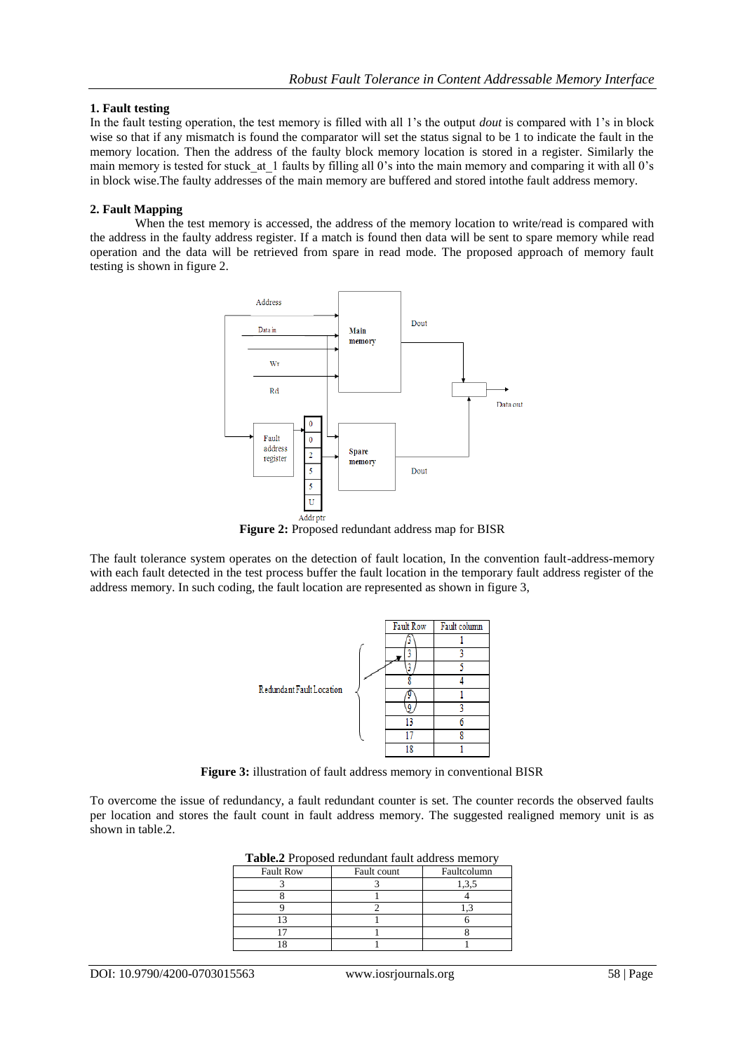#### **1. Fault testing**

In the fault testing operation, the test memory is filled with all 1's the output *dout* is compared with 1's in block wise so that if any mismatch is found the comparator will set the status signal to be 1 to indicate the fault in the memory location. Then the address of the faulty block memory location is stored in a register. Similarly the main memory is tested for stuck at 1 faults by filling all 0's into the main memory and comparing it with all 0's in block wise.The faulty addresses of the main memory are buffered and stored intothe fault address memory.

#### **2. Fault Mapping**

When the test memory is accessed, the address of the memory location to write/read is compared with the address in the faulty address register. If a match is found then data will be sent to spare memory while read operation and the data will be retrieved from spare in read mode. The proposed approach of memory fault testing is shown in figure 2.



**Figure 2:** Proposed redundant address map for BISR

The fault tolerance system operates on the detection of fault location, In the convention fault-address-memory with each fault detected in the test process buffer the fault location in the temporary fault address register of the address memory. In such coding, the fault location are represented as shown in figure 3,



**Figure 3:** illustration of fault address memory in conventional BISR

To overcome the issue of redundancy, a fault redundant counter is set. The counter records the observed faults per location and stores the fault count in fault address memory. The suggested realigned memory unit is as shown in table.2.

| <b>Table.</b> Proposed redundant fault address memory |             |             |  |  |  |  |  |  |  |  |
|-------------------------------------------------------|-------------|-------------|--|--|--|--|--|--|--|--|
| <b>Fault Row</b>                                      | Fault count | Faultcolumn |  |  |  |  |  |  |  |  |
|                                                       |             |             |  |  |  |  |  |  |  |  |
|                                                       |             |             |  |  |  |  |  |  |  |  |
|                                                       |             |             |  |  |  |  |  |  |  |  |
|                                                       |             |             |  |  |  |  |  |  |  |  |
|                                                       |             |             |  |  |  |  |  |  |  |  |
|                                                       |             |             |  |  |  |  |  |  |  |  |

**Table.2** Proposed redundant fault address memory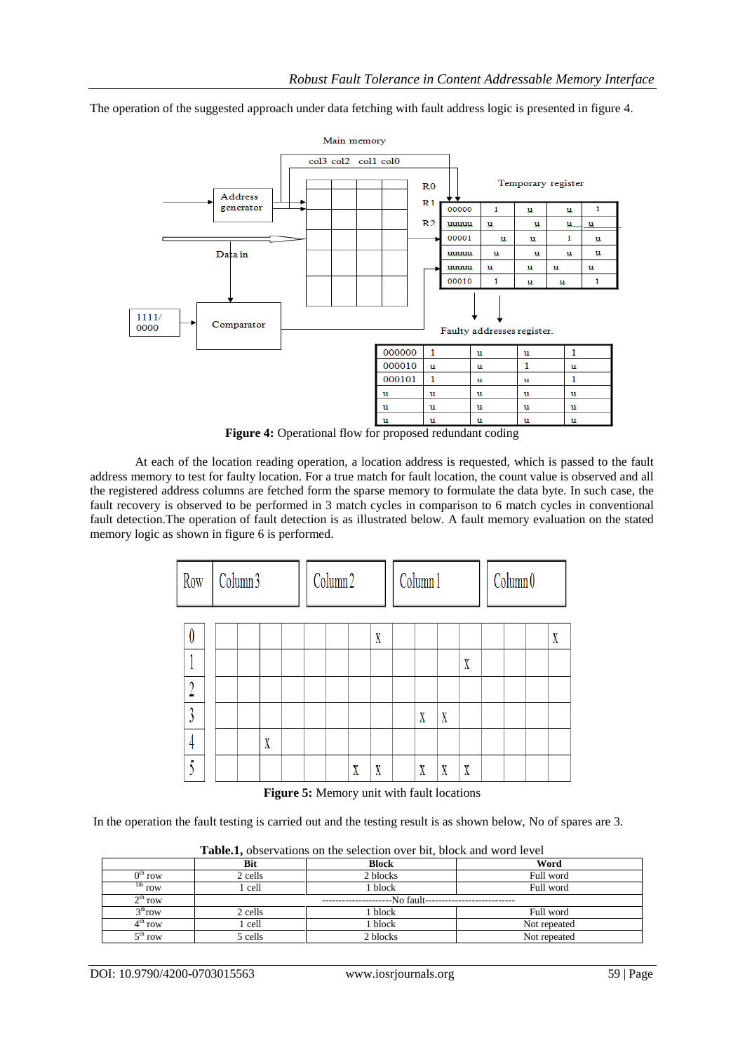The operation of the suggested approach under data fetching with fault address logic is presented in figure 4.



**Figure 4:** Operational flow for proposed redundant coding

At each of the location reading operation, a location address is requested, which is passed to the fault address memory to test for faulty location. For a true match for fault location, the count value is observed and all the registered address columns are fetched form the sparse memory to formulate the data byte. In such case, the fault recovery is observed to be performed in 3 match cycles in comparison to 6 match cycles in conventional fault detection.The operation of fault detection is as illustrated below. A fault memory evaluation on the stated memory logic as shown in figure 6 is performed.

| Row | Column 3 |   | Column <sub>2</sub> |  |   |   | Column 1 |   |   |   | Column <sub>0</sub> |  |  |   |
|-----|----------|---|---------------------|--|---|---|----------|---|---|---|---------------------|--|--|---|
| V   |          |   |                     |  |   | X |          |   |   |   |                     |  |  | X |
|     |          |   |                     |  |   |   |          |   |   | X |                     |  |  |   |
|     |          |   |                     |  |   |   |          |   |   |   |                     |  |  |   |
|     |          |   |                     |  |   |   |          | X | X |   |                     |  |  |   |
|     |          | X |                     |  |   |   |          |   |   |   |                     |  |  |   |
|     |          |   |                     |  | X | X |          | X | X | X |                     |  |  |   |

**Figure 5:** Memory unit with fault locations

In the operation the fault testing is carried out and the testing result is as shown below, No of spares are 3.

| ---------           |            |              |              |  |  |  |  |  |  |  |  |
|---------------------|------------|--------------|--------------|--|--|--|--|--|--|--|--|
|                     | <b>Bit</b> | <b>Block</b> | Word         |  |  |  |  |  |  |  |  |
| $0th$ row           | 2 cells    | 2 blocks     | Full word    |  |  |  |  |  |  |  |  |
| $1th$ row           | l cell     | l block      | Full word    |  |  |  |  |  |  |  |  |
| $2^{th}$ row        |            | --No fault-  |              |  |  |  |  |  |  |  |  |
| 3 <sup>th</sup> row | 2 cells    | block        | Full word    |  |  |  |  |  |  |  |  |
| $4th$ row           | 1 cell     | l block      | Not repeated |  |  |  |  |  |  |  |  |
| $5^{\text{th}}$ row | 5 cells    | 2 blocks     | Not repeated |  |  |  |  |  |  |  |  |

**Table.1,** observations on the selection over bit, block and word level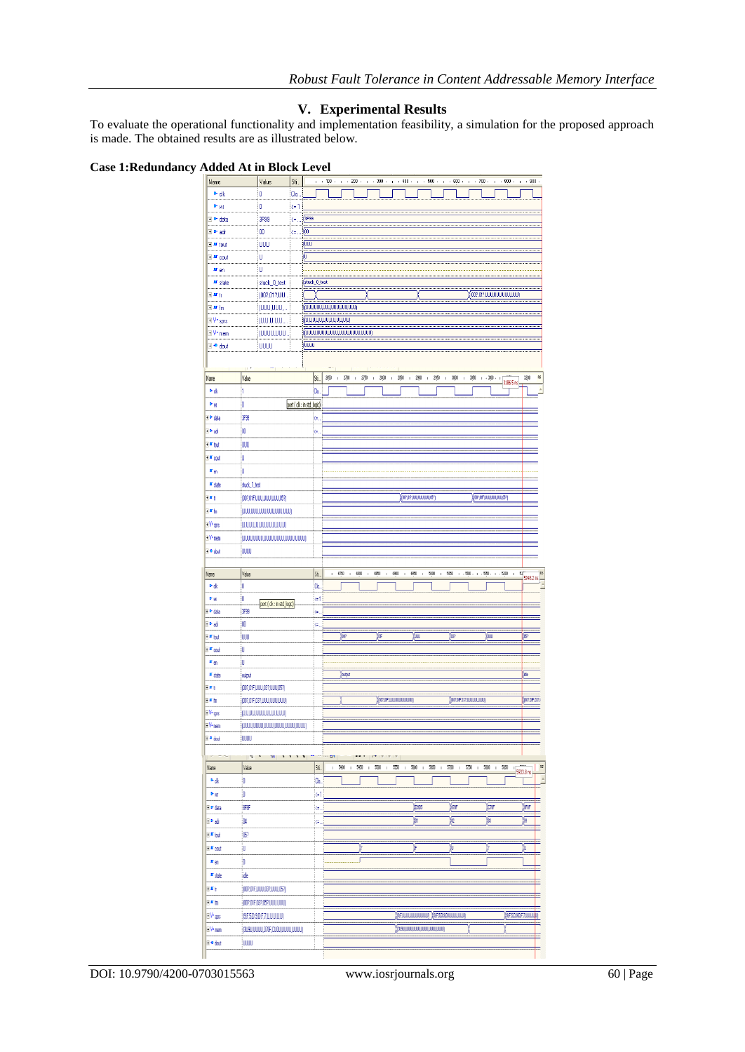# **V. Experimental Results**

To evaluate the operational functionality and implementation feasibility, a simulation for the proposed approach is made. The obtained results are as illustrated below.

### **Case 1:Redundancy Added At in Block Level**

| ruu<br>u                        | Ð            | ш<br>ատ                         | л.             | ш<br>∼                          |             |                                 |            |                  |      |             |                        |                                            |                                                 |              |                      |                          |                           |              |             |                 |                         |
|---------------------------------|--------------|---------------------------------|----------------|---------------------------------|-------------|---------------------------------|------------|------------------|------|-------------|------------------------|--------------------------------------------|-------------------------------------------------|--------------|----------------------|--------------------------|---------------------------|--------------|-------------|-----------------|-------------------------|
| Name<br>$P$ ck                  |              | Value<br>o                      | Sti<br>Clo.,   |                                 |             | $+$ $+$ 100 $+$ $+$ $+$ 200 $+$ |            |                  |      | $+ - 300 +$ | $+ - 400 +$            |                                            | $+$ $+$ 500 $+$ $+$ $+$ 600 $+$ $+$ $+$ 700 $+$ |              |                      |                          |                           |              | $+ - 800 +$ | $+ - 900$       |                         |
| <sup>D-</sup> WI                |              | o                               | $\Leftarrow$ 1 |                                 |             |                                 |            |                  |      |             |                        |                                            |                                                 |              |                      |                          |                           |              |             |                 |                         |
| ⊞ ® data                        |              | 3F99                            | K≡.,           | 3F99                            |             |                                 |            |                  |      |             |                        |                                            |                                                 |              |                      |                          |                           |              |             |                 |                         |
| El Priadr                       |              | 00                              | <=             | (00                             |             |                                 |            |                  |      |             |                        |                                            |                                                 |              |                      |                          |                           |              |             |                 |                         |
| E <sup>ar</sup> tout            |              | UUU                             |                | (UUU                            |             |                                 |            |                  |      |             |                        |                                            |                                                 |              |                      |                          |                           |              |             |                 |                         |
| ⊞ ™ cout                        |              | U                               |                | (U                              |             |                                 |            |                  |      |             |                        |                                            |                                                 |              |                      |                          |                           |              |             |                 |                         |
| $\mathbf{r}_{en}$               |              | U                               |                |                                 |             |                                 |            |                  |      |             |                        |                                            |                                                 |              |                      |                          |                           |              |             |                 |                         |
| ar state                        |              | stuck_0_test                    |                | stuck_0_test                    |             |                                 |            |                  |      |             |                        |                                            |                                                 |              |                      |                          |                           |              |             |                 |                         |
| 田町井                             |              | (00?,01?,UU.                    |                |                                 |             |                                 |            |                  |      |             |                        |                                            |                                                 |              |                      |                          | 0002,012,000,000,000,000) |              |             |                 |                         |
| <b>FM</b> fm                    |              | (UUU,UUU,                       |                | (החמ'החמ'החמ'החמ'החמ'ה          |             |                                 |            |                  |      |             |                        |                                            |                                                 |              |                      |                          |                           |              |             |                 |                         |
| <b>EIV</b> = sprs               |              | (U,U,U,U,U,                     |                | <u>(ພຸນນຸນພຸນນຸນພຸນນຸນນຸນ</u>   |             |                                 |            |                  |      |             |                        |                                            |                                                 |              |                      |                          |                           |              |             |                 |                         |
| ⊞ V= mem                        |              | (UUUU,UUU.                      |                | (0000,0000,0000,0000,0000,0000) |             |                                 |            |                  |      |             |                        |                                            |                                                 |              |                      |                          |                           |              |             |                 |                         |
| ⊞ ® dout                        |              | UUUU                            |                | (UUU)                           |             |                                 |            |                  |      |             |                        |                                            |                                                 |              |                      |                          |                           |              |             |                 |                         |
|                                 |              |                                 |                |                                 |             |                                 |            |                  |      |             |                        |                                            |                                                 |              |                      |                          |                           |              |             |                 |                         |
|                                 |              |                                 |                |                                 |             |                                 |            |                  |      |             |                        |                                            |                                                 |              |                      |                          |                           |              |             |                 |                         |
| Name                            | Value        |                                 |                |                                 | Sti.        | 350                             | 2700<br>f, | $\,$             | 2750 | 2800<br>J.  | 280<br>f.              | 2800<br>$\mathfrak{t}$                     | 2850<br>t,                                      | $\mathbf{t}$ | 3000                 | 380<br>t.                | , .300.                   | $\mathbb{L}$ | 3186.5 ns   | 3200            | ß                       |
| ٠d                              | I1           |                                 |                |                                 | Cb.         |                                 |            |                  |      |             |                        |                                            |                                                 |              |                      |                          |                           |              |             |                 |                         |
| <b>P</b> W                      | 0            |                                 |                | port (ck: in std_logic)         |             |                                 |            |                  |      |             |                        |                                            |                                                 |              |                      |                          |                           |              |             |                 |                         |
| i <sup>o</sup> data             | 399          |                                 |                |                                 | ¢.          |                                 |            |                  |      |             |                        |                                            |                                                 |              |                      |                          |                           |              |             |                 |                         |
| ⊡ ad                            | 00           |                                 |                |                                 | ¢.          |                                 |            |                  |      |             |                        |                                            |                                                 |              |                      |                          |                           |              |             |                 |                         |
| E <sup>ar</sup> tod             | UUU          |                                 |                |                                 |             |                                 |            |                  |      |             |                        |                                            |                                                 |              |                      |                          |                           |              |             |                 |                         |
| + M cout                        | U            |                                 |                |                                 |             |                                 |            |                  |      |             |                        |                                            |                                                 |              |                      |                          |                           |              |             |                 |                         |
| $\pi_{\mathfrak{M}}$            | iU           |                                 |                |                                 |             |                                 |            |                  |      |             |                        |                                            |                                                 |              |                      |                          |                           |              |             |                 |                         |
| ar <sub>state</sub>             | stuck_1_test |                                 |                |                                 |             |                                 |            |                  |      |             |                        |                                            |                                                 |              |                      |                          |                           |              |             |                 |                         |
| EM≬                             |              | (00?,01F,UUU,UUU,UUU,05?)       |                |                                 |             |                                 |            |                  |      |             |                        | (100?,01?,UUU,UUU,UUU,05?)                 |                                                 |              |                      |                          | ((00?,0F,UUU,UUU,UUU,05?) |              |             |                 |                         |
| + If In                         |              | (UUU,UUU,UUU,UUU,UUU,UUU)       |                |                                 |             |                                 |            |                  |      |             |                        |                                            |                                                 |              |                      |                          |                           |              |             |                 |                         |
| ⊡ V• sprs                       |              | (ע,ע,ע,ע,ע,ע,ע,ע,ע,ע,ע,ש)       |                |                                 |             |                                 |            |                  |      |             |                        |                                            |                                                 |              |                      |                          |                           |              |             |                 |                         |
| $\mathbb{E} V^{\mathsf{r}}$ mem |              | (0000,0000,0000,0000,0000,0000) |                |                                 |             |                                 |            |                  |      |             |                        |                                            |                                                 |              |                      |                          |                           |              |             |                 |                         |
| ⊞∙dad                           | UUUU         |                                 |                |                                 |             |                                 |            |                  |      |             |                        |                                            |                                                 |              |                      |                          |                           |              |             |                 |                         |
|                                 |              |                                 |                |                                 |             |                                 |            |                  |      |             |                        |                                            |                                                 |              |                      |                          |                           |              |             |                 |                         |
| Name                            | Value        |                                 |                |                                 | Sí.         |                                 | 4750       | 4800             |      | 4890        | 4900                   | 4950                                       | 5000                                            | 5(6)         |                      | .500.                    | $-550$                    |              | $-5200$     | 52<br>5248.2 ns |                         |
| ⊳dk                             | 10           |                                 |                |                                 | Cb.         |                                 |            |                  |      |             |                        |                                            |                                                 |              |                      |                          |                           |              |             |                 |                         |
| <b>D-W</b>                      | O            | port (ck : in std_logic)        |                |                                 | $\left($ =1 |                                 |            |                  |      |             |                        |                                            |                                                 |              |                      |                          |                           |              |             |                 |                         |
| E <sup>o</sup> data             | 39           |                                 |                |                                 | k.          |                                 |            |                  |      |             |                        |                                            |                                                 |              |                      |                          |                           |              |             |                 |                         |
| Elead                           | 00           |                                 |                |                                 | ķ.          |                                 |            |                  |      |             |                        |                                            |                                                 |              |                      |                          |                           |              |             |                 |                         |
| E <sup>ur</sup> tod             | iuu          |                                 |                |                                 |             |                                 | (TO?       |                  |      | <b>OF</b>   |                        | 伽                                          |                                                 |              | (m                   |                          | Ńш                        |              |             | 俪               |                         |
| ⊡ <mark>#</mark> cout           | U            |                                 |                |                                 |             |                                 |            |                  |      |             |                        |                                            |                                                 |              |                      |                          |                           |              |             |                 |                         |
| $H_{\text{eff}}$                | w            |                                 |                |                                 |             |                                 |            |                  |      |             |                        |                                            |                                                 |              |                      |                          |                           |              |             |                 |                         |
| ar state                        | autput       |                                 |                |                                 |             |                                 | (output    |                  |      |             |                        |                                            |                                                 |              |                      |                          |                           |              |             | (de             |                         |
| E∎t                             |              | (00?,01F,UUU,03?,UUU,05?)       |                |                                 |             |                                 |            |                  |      |             |                        |                                            |                                                 |              |                      |                          |                           |              |             |                 |                         |
| E×h                             |              | (00?,01F,03?,UUU,UUU,UUU)       |                |                                 |             |                                 |            |                  |      |             | (00?,0F,UJU,UUJUJUJUJ) |                                            |                                                 |              |                      | (002,0F,032,UUU)JJJJJUUJ |                           |              |             |                 | (002,01F,032)           |
| ⊞V= sprs                        |              | (ע,ע,ע,ע,ע,ע,ע,ע,ע,ע,ע,ש        |                |                                 |             |                                 |            |                  |      |             |                        |                                            |                                                 |              |                      |                          |                           |              |             |                 |                         |
| EV=nen                          |              | (UUUU,UUUU,UUUU,UUUU,UUUU,UUUU) |                |                                 |             |                                 |            |                  |      |             |                        |                                            |                                                 |              |                      |                          |                           |              |             |                 |                         |
| ⊞• dout                         | <b>juuu</b>  |                                 |                |                                 |             |                                 |            |                  |      |             |                        |                                            |                                                 |              |                      |                          |                           |              |             |                 |                         |
|                                 | P            |                                 |                |                                 |             | ov.                             |            |                  |      |             |                        |                                            |                                                 |              |                      |                          |                           |              |             |                 |                         |
| Name                            | Value        |                                 |                |                                 | Sí.         | ×.                              | 5400       | 560<br>$\bar{1}$ | r.   | 5500<br>f,  | 550                    | 5600<br>$\mathbb{I}$                       | 5650<br>$\mathbb{I}$                            | $\mathbb{I}$ | 5700<br>$\mathbb{L}$ | 5750                     | 5800<br>$\mathbb{I}$      | $\mathbb{I}$ | 55)<br>۱Í   | 5933.8 ns       | $\mathbb{I} \mathbb{S}$ |
| Pdk                             | O            |                                 |                |                                 | Co.         |                                 |            |                  |      |             |                        |                                            |                                                 |              |                      |                          |                           |              |             |                 | ×                       |
|                                 | O            |                                 |                |                                 | (=1         |                                 |            |                  |      |             |                        |                                            |                                                 |              |                      |                          |                           |              |             |                 |                         |
| Par                             |              |                                 |                |                                 |             |                                 |            |                  |      |             |                        |                                            |                                                 |              |                      |                          |                           |              |             |                 |                         |
| E P data                        | 9FF          |                                 |                |                                 | (=          |                                 |            |                  |      |             |                        | <b>COSCIS</b>                              |                                                 |              | (me                  |                          |                           | tone         |             | <b>SEIE</b>     |                         |
| E⊵at                            | 104          |                                 |                |                                 | Œ.          |                                 |            |                  |      |             |                        | įπ                                         |                                                 |              | Įœ                   |                          | ţœ                        |              |             | 偋               |                         |
| F F lout                        | 367          |                                 |                |                                 |             |                                 |            |                  |      |             |                        |                                            |                                                 |              |                      |                          |                           |              |             |                 |                         |
| E <sup>ar</sup> cout            | U            |                                 |                |                                 |             |                                 |            |                  |      |             |                        |                                            |                                                 |              | íu                   |                          |                           |              |             | σ               |                         |
| $r_{en}$                        | 0            |                                 |                |                                 |             |                                 |            |                  |      |             |                        |                                            |                                                 |              |                      |                          |                           |              |             |                 |                         |
|                                 |              |                                 |                |                                 |             |                                 |            |                  |      |             |                        |                                            |                                                 |              |                      |                          |                           |              |             |                 |                         |
| " state                         | ïф           |                                 |                |                                 |             |                                 |            |                  |      |             |                        |                                            |                                                 |              |                      |                          |                           |              |             |                 |                         |
| Ŧ                               |              | {{00?,01F,UUU,03?,UUU,05?}      |                |                                 |             |                                 |            |                  |      |             |                        |                                            |                                                 |              |                      |                          |                           |              |             |                 |                         |
| Ŧħ                              |              | (00?,01F,03?,05?,UUU,UUU)       |                |                                 |             |                                 |            |                  |      |             |                        |                                            |                                                 |              |                      |                          |                           |              |             |                 |                         |
| ⊡V⊧gm                           |              | (9F.5D.9D.F.7JJJJJJJJJJJ        |                |                                 |             |                                 |            |                  |      |             |                        | (SF.HALLANDULLAND) (SF.S.D.S.D.U.UULULAND) |                                                 |              |                      |                          |                           |              |             | 9F5D9DF7JUJUJUJ |                         |
| EVinen                          |              | (3J9JUJUJU/070F,CJ0JUJUJUJUJUJU |                |                                 |             |                                 |            |                  |      |             |                        | (3.9.JUULUULUULUULUU)                      |                                                 |              |                      |                          |                           |              |             |                 |                         |
| E + dout                        | iuuu         |                                 |                |                                 |             |                                 |            |                  |      |             |                        |                                            |                                                 |              |                      |                          |                           |              |             |                 |                         |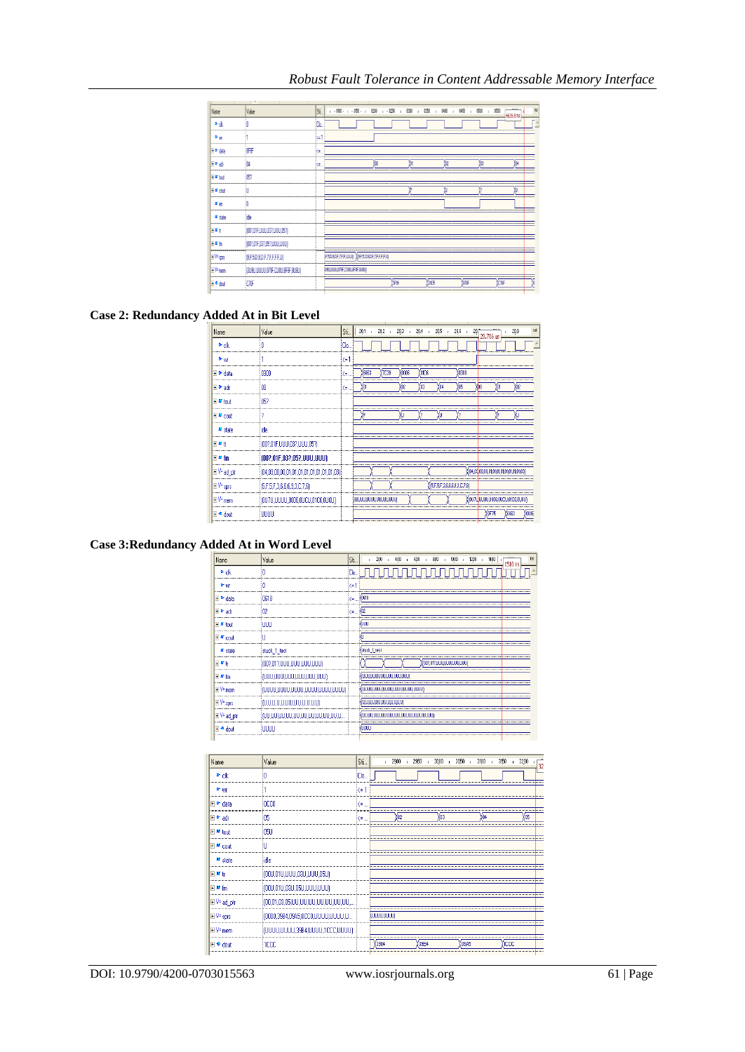| Name                      | Value                           | Sí.  | $-500$ $-1$ $-550$ $-1$ $-6200$ $-1$ $-6250$ $-1$ $-6300$ |    |       |    | . 6400<br>. 6350<br>$\mathbb{R}$ | 650<br>6500 | 颐<br>6626.8 ns |
|---------------------------|---------------------------------|------|-----------------------------------------------------------|----|-------|----|----------------------------------|-------------|----------------|
| * dk                      |                                 | iOn. |                                                           |    |       |    |                                  |             |                |
| P <sub>HI</sub>           |                                 | (1)  |                                                           |    |       |    |                                  |             |                |
| <b>E</b> Poda             | i graf                          | k.   |                                                           |    |       |    |                                  |             |                |
| E Patr                    | iN,                             | k=   |                                                           | ŮU |       | 'n | tre                              | ίm          | ÏМ             |
| E <sup>x</sup> tod        | i67                             |      |                                                           |    |       |    |                                  |             |                |
| E F cad                   |                                 |      |                                                           |    |       | ۲F |                                  |             |                |
| $\mathbf{r}_{\text{eff}}$ |                                 |      |                                                           |    |       |    |                                  |             |                |
| # state                   | ide.                            |      |                                                           |    |       |    |                                  |             |                |
| 日野                        | [00?,01F,UUU,03?,UUU,05?]       |      |                                                           |    |       |    |                                  |             |                |
| 同期間                       | [00?,01F,03?,05?,UUU,UUU]       |      |                                                           |    |       |    |                                  |             |                |
| <b>EV-sm</b>              | INFSD.SDF.7FFFFJJI              |      | FADADFJFFJJJJJ XISFADADFJFFFFJJ                           |    |       |    |                                  |             |                |
| EV-nen                    | (BUSU,UUUU,O7OF,CUOU,BF8F,8U8U) |      | LISULUUU (ITVF,CUIVL)FIF,BUBU)                            |    |       |    |                                  |             |                |
| l⊡∙dod                    | icne                            |      |                                                           |    | 13F99 |    | <b>TOSES</b>                     | force       | Yone           |

# **Case 2: Redundancy Added At in Bit Level**

| Name             | Value                                     | Sti. | 20.1                   | 20.2 | 20.3  | 20.4<br>$\mathbf{u}$ | 20.5<br>$\mathbf{I}$ | 20.6                      | 20.706 us                            | 20.9                                           | US <sub></sub> |
|------------------|-------------------------------------------|------|------------------------|------|-------|----------------------|----------------------|---------------------------|--------------------------------------|------------------------------------------------|----------------|
| $P$ ck           |                                           | Clo  |                        |      |       |                      |                      |                           |                                      |                                                |                |
| <sup>D-</sup> WI |                                           | ϡ    |                        |      |       |                      |                      |                           |                                      |                                                |                |
| data             | i nann                                    | ₹.   | 6663                   | 7039 | anno? | <b>OIC6</b>          |                      | 0300                      |                                      |                                                |                |
| + Padr           |                                           | (≡   |                        |      | 'n2   |                      |                      |                           |                                      |                                                |                |
| $+10$ tout       | 053                                       |      |                        |      |       |                      |                      |                           |                                      |                                                |                |
| ⊞ #r cout        |                                           |      |                        |      |       |                      |                      |                           |                                      |                                                |                |
| Ar state         |                                           |      |                        |      |       |                      |                      |                           |                                      |                                                |                |
| + M h            | {00?,01F,UUU,03?,UUU,05?}                 |      |                        |      |       |                      |                      |                           |                                      |                                                |                |
| ∓ M fm           | [00?,01F,03?,05?,UUU,UUU]                 |      |                        |      |       |                      |                      |                           |                                      |                                                |                |
| ⊞V=ad ptr        | (04,03,00,00,01,01,01,01,01,01,01,01,03); |      |                        |      |       |                      |                      |                           | (04.03.00.00.01.01.01.01.01.01.01.03 |                                                |                |
| E V= sprs        | [5.F.5.F.3.6.6.8.3.C.7.6]                 |      |                        |      |       |                      |                      | (5,F,5,F,3,6,6,9,3,C,7,6) |                                      |                                                |                |
| EV=mem           | {{QU7U,UUUU ,0006,QUCU,01C6,QU0U}         |      | 9,0000,0000,0000,0000) |      |       |                      |                      |                           |                                      | ((0U7L <mark>,UUUU,0006,0UCU,01C6,0U0U)</mark> |                |
|                  | 11 II II                                  |      |                        |      |       |                      |                      |                           |                                      | <b>CCC</b>                                     |                |
|                  |                                           |      |                        |      |       |                      |                      |                           |                                      |                                                |                |

# **Case 3:Redundancy Added At in Word Level**

|                        | Value                                 | Sti | 800<br>600<br>1000<br>ns<br>200<br>400<br>1200<br>1400<br>1510 ns |
|------------------------|---------------------------------------|-----|-------------------------------------------------------------------|
|                        |                                       |     |                                                                   |
| D <sub>UI</sub>        |                                       | Z≡. |                                                                   |
| Ŧ<br>data              | 0618                                  | œ.  | 10618                                                             |
| F Pradr                |                                       | «∕≡ |                                                                   |
| $+ M$ hout             |                                       |     |                                                                   |
| $\mathbb{H}$ M could   |                                       |     |                                                                   |
| <b>ILT</b> state       | stuck 1 test                          |     | stuck 1 test                                                      |
| $H$ M <sup>h</sup>     | (00?,01?,UUU,UUU,UUU,UUU)             |     | 700?.01?.UUU.UUU.UUUUUUU                                          |
| $H$ M $m$              | : NANA YANA YANA YANA YANA YA MA      |     | , ແນວການການການການການການກ                                          |
| $E$ V <sup>*</sup> mem | : NANA YANAN YANAN YANAN YANAN 1      |     | {(UUUU,UUUU,UUUU,UUUU,UUUU,UUUU)                                  |
| $H = \frac{1}{2}$      | וּע מעט מים מים מים מים ו             |     |                                                                   |
|                        | ות מתוחמות החירות החירות החירות והיו. |     |                                                                   |
|                        | 100 D D                               |     | mm                                                                |
|                        |                                       |     |                                                                   |

| Name                 | Value                                | Sti.           | 2900 +<br>2950<br>$3000$ $13050$ 1<br>3100<br>3150<br>3200<br>$\mathbf{I}$<br>$\blacksquare$ | 32 |
|----------------------|--------------------------------------|----------------|----------------------------------------------------------------------------------------------|----|
| D- ck                |                                      | Clo.           |                                                                                              |    |
| D- WF                |                                      | $\leftarrow$ 1 |                                                                                              |    |
| E P data             | incon                                | K=             | -----------------------------------                                                          |    |
| <br>+ P adr          | ns                                   | (≡             | 'ns<br>'n                                                                                    |    |
| $+1$ ar tout         | 105LJ                                |                |                                                                                              |    |
| ⊞ <sup>ar</sup> cout |                                      |                |                                                                                              |    |
| Ar state             | idle                                 |                |                                                                                              |    |
| $+11$                | (000,010,000,030,000,050)            |                |                                                                                              |    |
| $+ M$ fm             | {00U,01U,03U,05U,UUU,UUU}            |                |                                                                                              |    |
| ⊞V= ad ptr           | :00,01,03,05,UU,UU,UU,UU,UU,UU,UU,UU |                |                                                                                              |    |
| $\Box$ V= sprs       | {(0000,3984,09A5,0CC0,UUUU,UUUU,U    |                | <b>JUUUUUUUU</b>                                                                             |    |
| ⊞V= mem              | (UUUU,UUUU,39B4,UUUU,1CCC,UUUU)      |                |                                                                                              |    |
| Fire doub            | 1000                                 |                | 'ICCC<br>3984<br>39B4<br>09A5                                                                |    |
|                      |                                      |                |                                                                                              |    |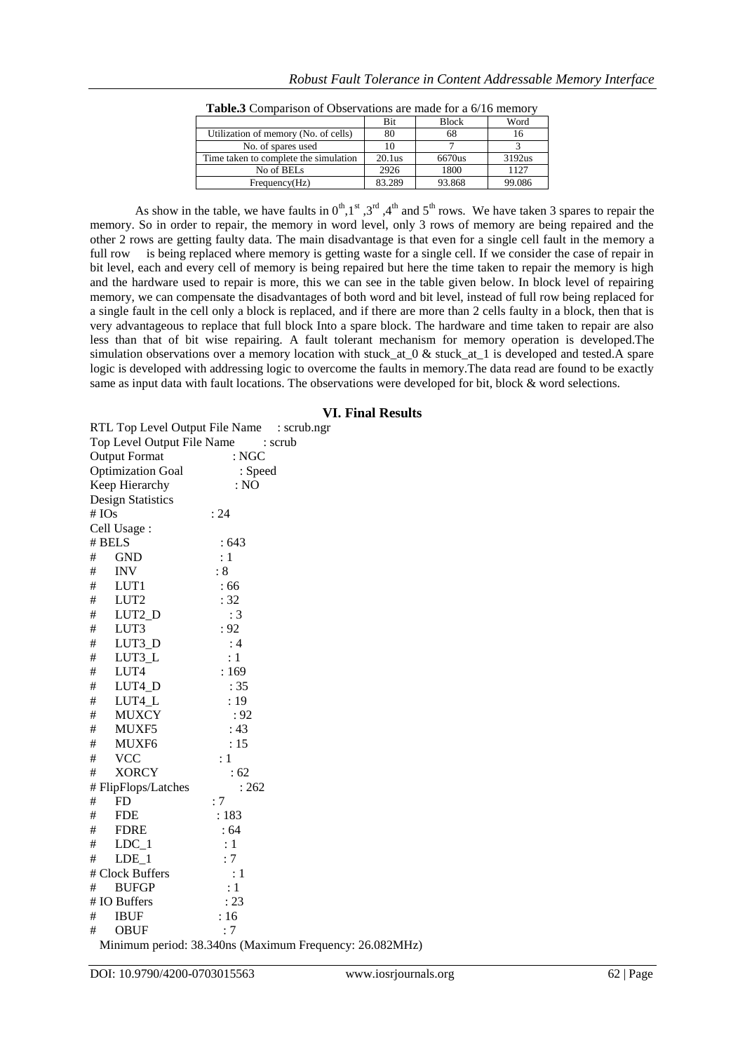|                                       | <b>Bit</b> | <b>Block</b> | Word   |
|---------------------------------------|------------|--------------|--------|
| Utilization of memory (No. of cells)  | 80         | 68           | 16     |
| No. of spares used                    |            |              |        |
| Time taken to complete the simulation | 20.1us     | 6670us       | 3192us |
| No of BELs                            | 2926       | 1800         | 1127   |
| Frequency(Hz)                         | 83.289     | 93.868       | 99.086 |

As show in the table, we have faults in  $0^{th}$ , 1<sup>st</sup> , 3<sup>rd</sup> , 4<sup>th</sup> and 5<sup>th</sup> rows. We have taken 3 spares to repair the memory. So in order to repair, the memory in word level, only 3 rows of memory are being repaired and the other 2 rows are getting faulty data. The main disadvantage is that even for a single cell fault in the memory a full row is being replaced where memory is getting waste for a single cell. If we consider the case of repair in bit level, each and every cell of memory is being repaired but here the time taken to repair the memory is high and the hardware used to repair is more, this we can see in the table given below. In block level of repairing memory, we can compensate the disadvantages of both word and bit level, instead of full row being replaced for a single fault in the cell only a block is replaced, and if there are more than 2 cells faulty in a block, then that is very advantageous to replace that full block Into a spare block. The hardware and time taken to repair are also less than that of bit wise repairing. A fault tolerant mechanism for memory operation is developed.The simulation observations over a memory location with stuck at  $0 &$  stuck at 1 is developed and tested.A spare logic is developed with addressing logic to overcome the faults in memory.The data read are found to be exactly same as input data with fault locations. The observations were developed for bit, block & word selections.

#### **Table.3** Comparison of Observations are made for a 6/16 memory

#### **VI. Final Results**

RTL Top Level Output File Name : scrub.ngr Top Level Output File Name : scrub Output Format : NGC Optimization Goal : Speed Keep Hierarchy : NO Design Statistics # IOs : 24 Cell Usage : # BELS : 643  $\#$  GND : 1  $# \quad \text{INV} \qquad : 8$ # LUT1 : 66 # LUT2 : 32 # LUT2\_D : 3 # LUT3 : 92 # LUT3\_D : 4 # LUT3\_L : 1 # LUT4 : 169 # LUT4\_D : 35 # LUT4\_L : 19 # MUXCY : 92 # MUXF5 : 43 # MUXF6 : 15 # VCC : 1 # XORCY : 62 # FlipFlops/Latches : 262 # FD : 7 # FDE : 183 # FDRE : 64  $\#$  LDC 1 : 1  $\#$  LDE 1 : 7 # Clock Buffers : 1 # BUFGP : 1 # IO Buffers : 23 # IBUF : 16 # OBUF : 7

Minimum period: 38.340ns (Maximum Frequency: 26.082MHz)